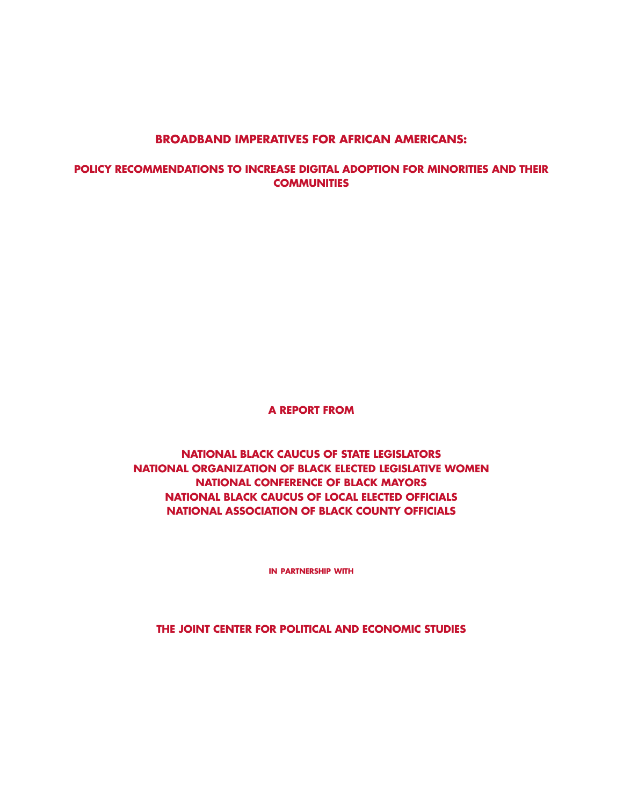## **BROADBAND IMPERATIVES FOR AFRICAN AMERICANS:**

**POLICY RECOMMENDATIONS TO INCREASE DIGITAL ADOPTION FOR MINORITIES AND THEIR COMMUNITIES**

**A REPORT FROM**

**NATIONAL BLACK CAUCUS OF STATE LEGISLATORS NATIONAL ORGANIZATION OF BLACK ELECTED LEGISLATIVE WOMEN NATIONAL CONFERENCE OF BLACK MAYORS NATIONAL BLACK CAUCUS OF LOCAL ELECTED OFFICIALS NATIONAL ASSOCIATION OF BLACK COUNTY OFFICIALS**

**in partnership with**

**THE JOINT CENTER FOR POLITICAL AND ECONOMIC STUDIES**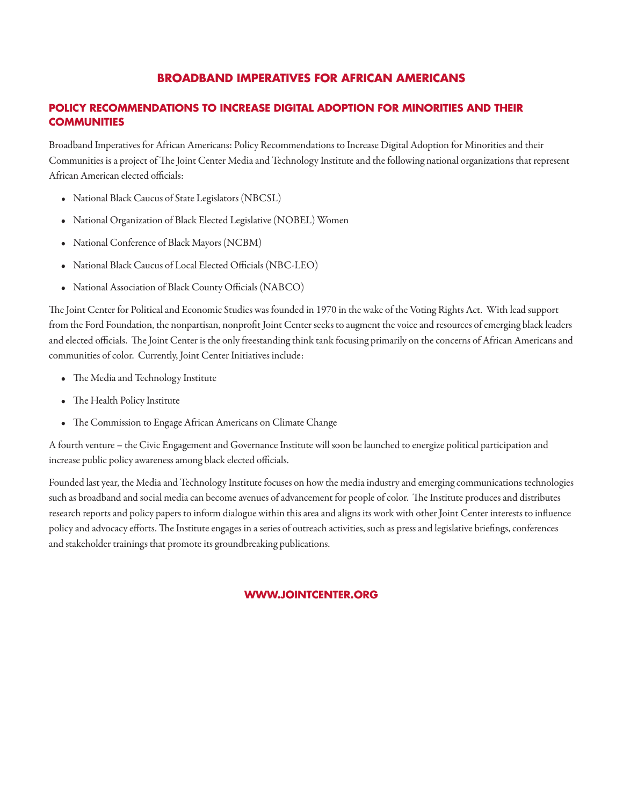## **BROADBAND IMPERATIVES FOR AFRICAN AMERICANS**

## **POLICY RECOMMENDATIONS TO INCREASE DIGITAL ADOPTION FOR MINORITIES AND THEIR COMMUNITIES**

Broadband Imperatives for African Americans: Policy Recommendations to Increase Digital Adoption for Minorities and their Communities is a project of The Joint Center Media and Technology Institute and the following national organizations that represent African American elected officials:

- *•*  National Black Caucus of State Legislators (NBCSL)
- National Organization of Black Elected Legislative (NOBEL) Women
- • National Conference of Black Mayors (NCBM)
- National Black Caucus of Local Elected Officials (NBC-LEO)
- • National Association of Black County Officials (NABCO)

The Joint Center for Political and Economic Studies was founded in 1970 in the wake of the Voting Rights Act. With lead support from the Ford Foundation, the nonpartisan, nonprofit Joint Center seeks to augment the voice and resources of emerging black leaders and elected officials. The Joint Center is the only freestanding think tank focusing primarily on the concerns of African Americans and communities of color. Currently, Joint Center Initiatives include:

- The Media and Technology Institute
- The Health Policy Institute
- The Commission to Engage African Americans on Climate Change

A fourth venture – the Civic Engagement and Governance Institute will soon be launched to energize political participation and increase public policy awarenessamong black elected officials.

Founded last year, the Media and Technology Institute focuses on how the media industry and emerging communications technologies such as broadband and social media can become avenues of advancement for people of color. The Institute produces and distributes research reports and policy papers to inform dialogue within this area and aligns its work with other Joint Center interests to influence policy and advocacy efforts. The Institute engages in a series of outreach activities, such as press and legislative briefings, conferences and stakeholder trainings that promote its groundbreaking publications.

#### **WWW.JOINTCENTER.ORG**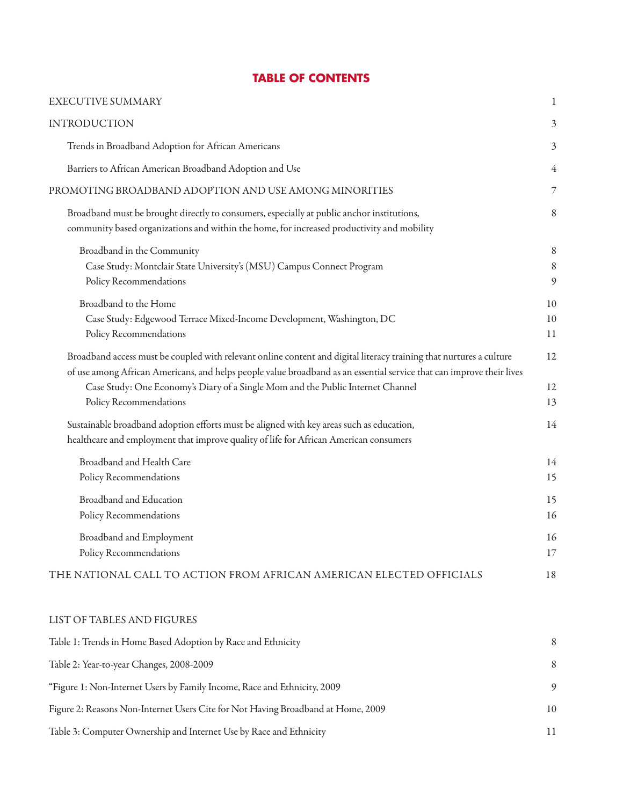| <b>EXECUTIVE SUMMARY</b>                                                                                                                                                                                                                                                                                                                                  | 1              |
|-----------------------------------------------------------------------------------------------------------------------------------------------------------------------------------------------------------------------------------------------------------------------------------------------------------------------------------------------------------|----------------|
| <b>INTRODUCTION</b>                                                                                                                                                                                                                                                                                                                                       | 3              |
| Trends in Broadband Adoption for African Americans                                                                                                                                                                                                                                                                                                        | 3              |
| Barriers to African American Broadband Adoption and Use                                                                                                                                                                                                                                                                                                   | 4              |
| PROMOTING BROADBAND ADOPTION AND USE AMONG MINORITIES                                                                                                                                                                                                                                                                                                     | 7              |
| Broadband must be brought directly to consumers, especially at public anchor institutions,<br>community based organizations and within the home, for increased productivity and mobility                                                                                                                                                                  | 8              |
| Broadband in the Community<br>Case Study: Montclair State University's (MSU) Campus Connect Program<br>Policy Recommendations                                                                                                                                                                                                                             | 8<br>8<br>9    |
| Broadband to the Home<br>Case Study: Edgewood Terrace Mixed-Income Development, Washington, DC<br>Policy Recommendations                                                                                                                                                                                                                                  | 10<br>10<br>11 |
| Broadband access must be coupled with relevant online content and digital literacy training that nurtures a culture<br>of use among African Americans, and helps people value broadband as an essential service that can improve their lives<br>Case Study: One Economy's Diary of a Single Mom and the Public Internet Channel<br>Policy Recommendations | 12<br>12<br>13 |
| Sustainable broadband adoption efforts must be aligned with key areas such as education,<br>healthcare and employment that improve quality of life for African American consumers                                                                                                                                                                         | 14             |
| Broadband and Health Care<br>Policy Recommendations                                                                                                                                                                                                                                                                                                       | 14<br>15       |
| Broadband and Education<br>Policy Recommendations                                                                                                                                                                                                                                                                                                         | 15<br>16       |
| Broadband and Employment<br>Policy Recommendations                                                                                                                                                                                                                                                                                                        | 16<br>17       |
| THE NATIONAL CALL TO ACTION FROM AFRICAN AMERICAN ELECTED OFFICIALS                                                                                                                                                                                                                                                                                       | 18             |

# **TABLE OF CONTENTS**

#### LIST OF TABLES AND FIGURES

| Table 1: Trends in Home Based Adoption by Race and Ethnicity                     |    |
|----------------------------------------------------------------------------------|----|
| Table 2: Year-to-year Changes, 2008-2009                                         | 8  |
| "Figure 1: Non-Internet Users by Family Income, Race and Ethnicity, 2009         | 9  |
| Figure 2: Reasons Non-Internet Users Cite for Not Having Broadband at Home, 2009 | 10 |
| Table 3: Computer Ownership and Internet Use by Race and Ethnicity               |    |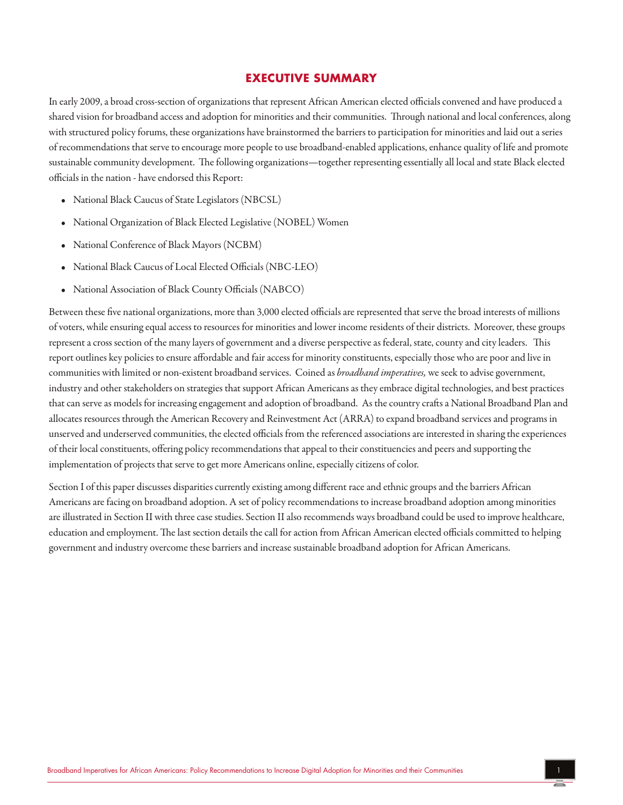#### **EXECUTIVE SUMMARY**

In early 2009, a broad cross-section of organizations that represent African American elected officials convened and have produced a shared vision for broadband access and adoption for minorities and their communities. Through national and local conferences, along with structured policy forums, these organizations have brainstormed the barriers to participation for minorities and laid out a series of recommendations that serve to encourage more people to use broadband-enabled applications, enhance quality of life and promote sustainable community development. The following organizations—together representing essentially all local and state Black elected officials in the nation - have endorsed this Report:

- National Black Caucus of State Legislators (NBCSL)
- National Organization of Black Elected Legislative (NOBEL) Women
- • National Conference of Black Mayors (NCBM)
- National Black Caucus of Local Elected Officials (NBC-LEO)
- • National Association of Black County Officials (NABCO)

Between these five national organizations, more than 3,000 elected officials are represented that serve the broad interests of millions of voters, while ensuring equal access to resources for minorities and lower income residents of their districts. Moreover, these groups represent a cross section of the many layers of government and a diverse perspective as federal, state, county and city leaders. This report outlines key policies to ensure affordable and fair access for minority constituents, especially those who are poor and live in communities with limited or non-existent broadband services. Coined as *broadband imperatives,* we seek to advise government, industry and other stakeholders on strategies that support African Americans as they embrace digital technologies, and best practices that can serve as models for increasing engagement and adoption of broadband. As the country crafts a National Broadband Plan and allocates resources through the American Recovery and Reinvestment Act (ARRA) to expand broadband services and programs in unserved and underserved communities, the elected officials from the referenced associations are interested in sharing the experiences of their local constituents, offering policy recommendations that appeal to their constituencies and peers and supporting the implementation of projects that serve to get more Americans online, especially citizens of color.

Section I of this paper discusses disparities currently existing among different race and ethnic groups and the barriers African Americans are facing on broadband adoption. A set of policy recommendations to increase broadband adoption among minorities are illustrated in Section II with three case studies. Section II also recommends ways broadband could be used to improve healthcare, education and employment. The last section details the call for action from African American elected officials committed to helping governmentand industry overcomethese barriersand increasesustainable broadband adoption for African Americans.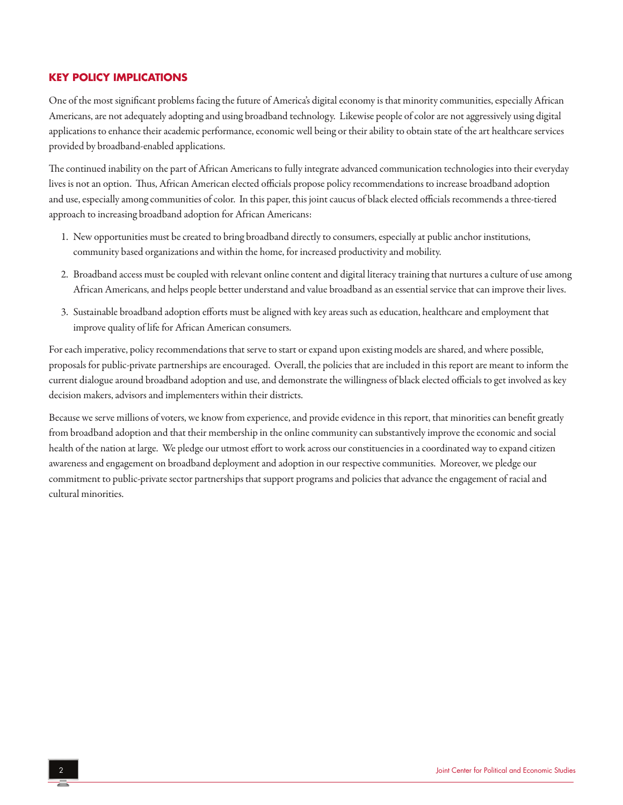#### **KEY POLICY IMPLICATIONS**

One of the most significant problems facing the future of America's digital economy is that minority communities, especially African Americans, are not adequately adopting and using broadband technology. Likewise people of color are not aggressively using digital applications to enhance their academic performance, economic well being or their ability to obtain state of the art healthcare services provided by broadband-enabled applications.

The continued inability on the part of African Americans to fully integrate advanced communication technologies into their everyday lives is not an option. Thus, African American elected officials propose policy recommendations to increase broadband adoption and use, especially among communities of color. In this paper, this joint caucus of black elected officials recommends a three-tiered approach to increasing broadband adoption for African Americans:

- 1. New opportunities must be created to bring broadband directly to consumers, especially at public anchor institutions, community based organizationsand within the home, for increased productivity and mobility.
- 2. Broadband access must be coupled with relevant online content and digital literacy training that nurtures a culture of use among African Americans, and helps people better understand and value broadband as an essential service that can improve their lives.
- 3. Sustainable broadband adoption efforts must be aligned with key areas such as education, healthcare and employment that improve quality of life for African American consumers.

For each imperative, policy recommendations that serve to start or expand upon existing models are shared, and where possible, proposals for public-private partnerships are encouraged. Overall, the policies that are included in this report are meant to inform the current dialogue around broadband adoption and use, and demonstrate the willingness of black elected officials to get involved as key decision makers, advisors and implementers within their districts.

Because we serve millions of voters, we know from experience, and provide evidence in this report, that minorities can benefit greatly from broadband adoption and that their membership in the online community can substantively improve the economic and social health of the nation at large. We pledge our utmosteffort to work across ourconstituencies in acoordinated way to expand citizen awareness and engagement on broadband deployment and adoption in our respective communities. Moreover, we pledge our commitment to public-private sector partnerships that support programs and policies that advance the engagement of racial and cultural minorities.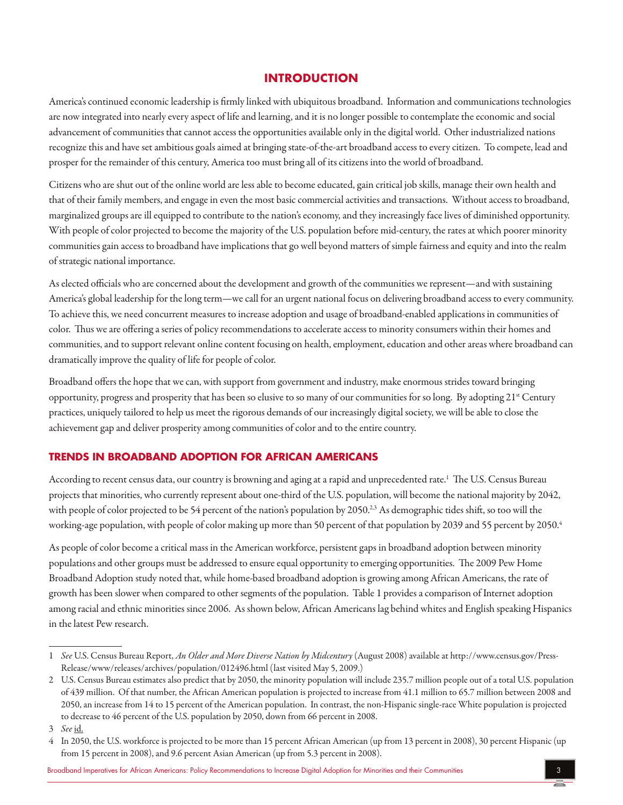## **INTRODUCTION**

America's continued economic leadership is firmly linked with ubiquitous broadband. Information and communications technologies are now integrated into nearly every aspect of life and learning, and it is no longer possible to contemplate the economic and social advancement of communities that cannot access the opportunities available only in the digital world. Other industrialized nations recognize this and have set ambitious goals aimed at bringing state-of-the-art broadband access to every citizen. To compete, lead and prosper for the remainder of this century, America too must bring all of its citizens into the world of broadband.

Citizens who are shut out of the online world are less able to become educated, gain critical job skills, manage their own health and that of their family members, and engage in even the most basic commercial activities and transactions. Without access to broadband, marginalized groups are ill equipped to contribute to the nation's economy, and they increasingly face lives of diminished opportunity. With people of color projected to become the majority of the U.S. population before mid-century, the rates at which poorer minority communities gain access to broadband have implications that go well beyond matters of simple fairness and equity and into the realm of strategic national importance.

As elected officials who are concerned about the development and growth of the communities we represent—and with sustaining America's global leadership for the long term—we call for an urgent national focus on delivering broadband access to every community. To achieve this, we need concurrent measures to increase adoption and usage of broadband-enabled applications in communities of color. Thus we are offering a series of policy recommendations to accelerate access to minority consumers within their homes and communities, and to support relevant online content focusing on health, employment, education and other areas where broadband can dramatically improve the quality of life for people of color.

Broadband offers the hope that we can, with support from government and industry, make enormous strides toward bringing opportunity, progress and prosperity that has been so elusive to so many of our communities for so long. By adopting 21<sup>st</sup> Century practices, uniquely tailored to help us meet the rigorous demands of our increasingly digital society, we will be able to close the achievement gap and deliver prosperity among communities of color and to the entire country.

#### **TRENDS IN BROADBAND ADOPTION FOR AFRICAN AMERICANS**

According to recent census data, our country is browning and aging at a rapid and unprecedented rate.<sup>1</sup> The U.S. Census Bureau projects that minorities, who currently represent about one-third of the U.S. population, will become the national majority by 2042, with people of color projected to be 54 percent of the nation's population by 2050.<sup>2,3</sup> As demographic tides shift, so too will the working-age population, with people of color making up more than 50 percent of that population by 2039 and 55 percent by 2050.<sup>4</sup>

As people of color become a critical mass in the American workforce, persistent gaps in broadband adoption between minority populations and other groups must be addressed to ensure equal opportunity to emerging opportunities. The 2009 Pew Home Broadband Adoption study noted that, while home-based broadband adoption is growing among African Americans, the rate of growth has been slower when compared to other segments of the population. Table 1 provides a comparison of Internet adoption among racial and ethnic minorities since 2006. As shown below, African Americans lag behind whites and English speaking Hispanics in the latest Pew research.

Broadband Imperatives for African Americans: Policy Recommendations to Increase Digital Adoption for Minorities and their Communities 3

<sup>1</sup>  *See* U.S. Census Bureau Report, *An Older and More Diverse Nation by Midcentury*(August 2008)availableat http://www.census.gov/Press-Release/www/releases/archives/population/012496.html (last visited May 5, 2009.)

<sup>2</sup> U.S. Census Bureau estimates also predict that by 2050, the minority population will include 235.7 million people out of a total U.S. population of 439 million. Of that number, the African American population is projected to increasefrom 41.1 million to 65.7 million between 2008 and 2050, an increase from 14 to 15 percent of the American population. In contrast, the non-Hispanic single-race White population is projected to decrease to 46 percent of the U.S. population by 2050, down from 66 percent in 2008.

<sup>3</sup>  *See* id.

<sup>4</sup> In 2050, the U.S. workforceis projected to be morethan 15 percent African American (up from 13 percent in 2008), 30 percent Hispanic(up from 15 percent in 2008), and 9.6 percent Asian American (up from 5.3 percent in 2008).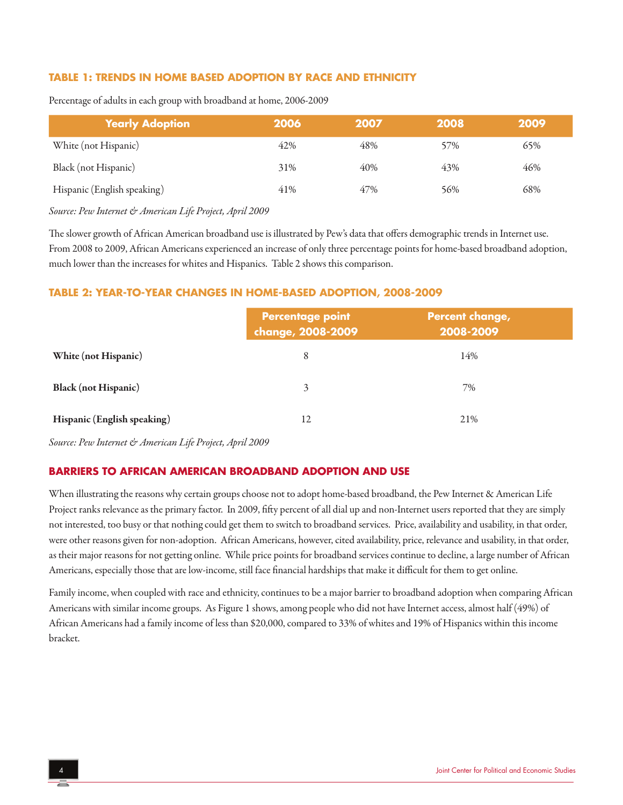#### **TABLE 1: TRENDS IN HOME BASED ADOPTION BY RACE AND ETHNICITY**

| <b>Yearly Adoption</b>      | 2006 | 2007 | 2008 | 2009 |
|-----------------------------|------|------|------|------|
| White (not Hispanic)        | 42%  | 48%  | 57%  | 65%  |
| Black (not Hispanic)        | 31%  | 40%  | 43%  | 46%  |
| Hispanic (English speaking) | 41%  | 47%  | 56%  | 68%  |

Percentage of adults in each group with broadband at home, 2006-2009

*Source: Pew Internet & American Life Project, April 2009*

The slower growth of African American broadband use is illustrated by Pew's data that offers demographic trends in Internet use. From 2008 to 2009, African Americans experienced an increase of only three percentage points for home-based broadband adoption, much lower than the increases for whites and Hispanics. Table 2 shows this comparison.

#### **TABLE 2: YEAR-TO-YEAR CHANGES IN HOME-BASED ADOPTION, 2008-2009**

|                             | <b>Percentage point</b><br>change, 2008-2009 | Percent change,<br>2008-2009 |
|-----------------------------|----------------------------------------------|------------------------------|
| White (not Hispanic)        | 8                                            | 14%                          |
| <b>Black</b> (not Hispanic) | 3                                            | 7%                           |
| Hispanic (English speaking) | 12                                           | 21%                          |

*Source: Pew Internet & American Life Project, April 2009*

#### **BARRIERS TO AFRICAN AMERICAN BROADBAND ADOPTION AND USE**

When illustrating the reasons why certain groups choose not to adopt home-based broadband, the Pew Internet & American Life Project ranks relevance as the primary factor. In 2009, fifty percent of all dial up and non-Internet users reported that they are simply not interested, too busy or that nothing could get them to switch to broadband services. Price,availability and usability, in that order, were other reasons given for non-adoption. African Americans, however, cited availability, price, relevance and usability, in that order, as their major reasons for not getting online. While price points for broadband services continue to decline, a large number of African Americans, especially those that are low-income, still face financial hardships that make it difficult for them to get online.

Family income, when coupled with race and ethnicity, continues to be a major barrier to broadband adoption when comparing African Americans with similar income groups. As Figure 1 shows, among people who did not have Internet access, almost half (49%) of African Americans had a family income of less than \$20,000, compared to 33% of whites and 19% of Hispanics within this income bracket.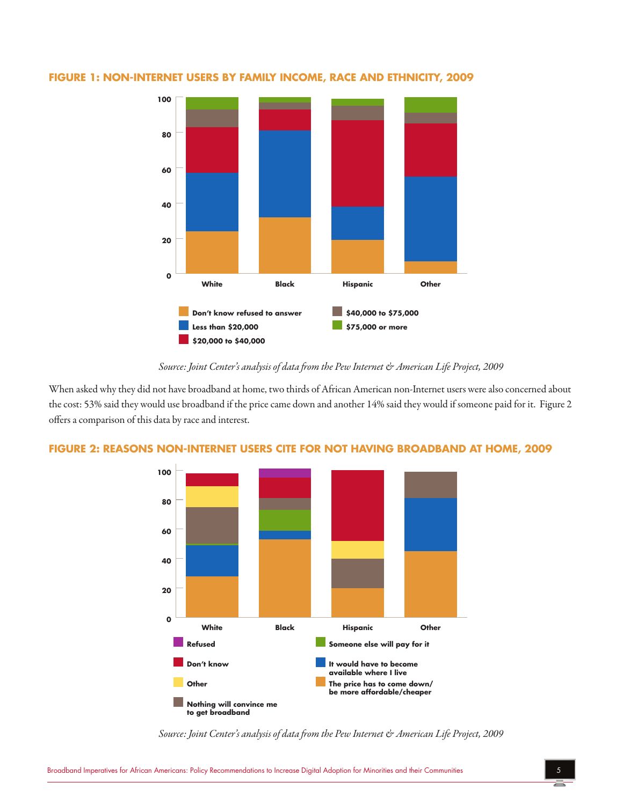

#### **FIGURE 1: NON-INTERNET USERS BY FAMILY INCOME, RACE AND ETHNICITY, 2009**

#### *Source: Joint Center's analysis of data from the Pew Internet & American Life Project, 2009*

When asked why they did not have broadband at home, two thirds of African American non-Internet users were also concerned about the cost: 53% said they would use broadband if the price came down and another 14% said they would if someone paid for it. Figure 2 offers a comparison of this data by race and interest.



# **FIGURE 2: REASONS NON-INTERNET USERS CITE FOR NOT HAVING BROADBAND AT HOME, 2009**

*Source: Joint Center's analysis of data from the Pew Internet & American Life Project, 2009*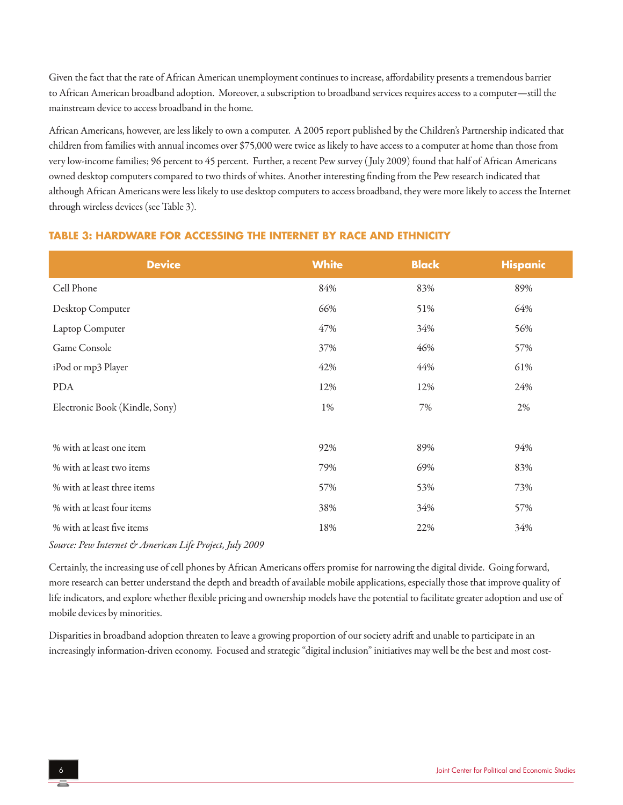Given the fact that the rate of African American unemployment continues to increase, affordability presents a tremendous barrier to African American broadband adoption. Moreover, a subscription to broadband services requires access to a computer—still the mainstream device to access broadband in the home.

African Americans, however, are less likely to own a computer. A 2005 report published by the Children's Partnership indicated that children from families with annual incomes over \$75,000 were twice as likely to have access to a computer at home than those from very low-income families; 96 percent to 45 percent. Further, a recent Pew survey (July 2009) found that half of African Americans owned desktop computers compared to two thirds of whites. Another interesting finding from the Pew research indicated that although African Americans were less likely to use desktop computers to access broadband, they were more likely to access the Internet through wireless devices (see Table 3).

# **Device White Black Hispanic** Cell Phone 84% 83% 89% Desktop Computer 66% 51% 64% Laptop Computer 56% 34% 56% Game Console 57% 57% 46% 57% 57% iPod or mp3 Player 42% 44% 61% PDA 12% 12% 12% 24% Electronic Book (Kindle, Sony) 1% 7% 2% % with at least one item  $92\%$  89% 89% 94% % with at least two items 79% 69% 83% % with at least three items 57% 53% 53% 53% 73% % with at least four items  $38\%$   $34\%$   $34\%$   $57\%$ % with at least fiveitems 18% 22% 34%

## **TABLE 3: HARDWARE FOR ACCESSING THE INTERNET BY RACE AND ETHNICITY**

*Source: Pew Internet & American Life Project, July 2009*

Certainly, the increasing use of cell phones by African Americans offers promise for narrowing the digital divide. Going forward, more research can better understand the depth and breadth of available mobile applications, especially those that improve quality of life indicators, and explore whether flexible pricing and ownership models have the potential to facilitate greater adoption and use of mobile devices by minorities.

Disparities in broadband adoption threaten to leave a growing proportion of our society adrift and unable to participate in an increasingly information-driven economy. Focused and strategic "digital inclusion" initiatives may well be the best and most cost-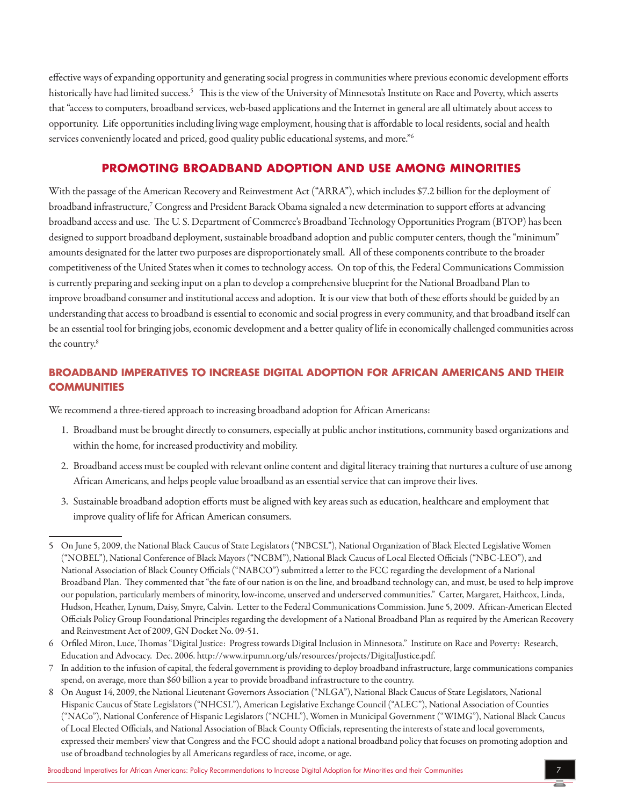effective ways of expanding opportunity and generating social progress in communities where previous economic development efforts historically have had limited success.<sup>5</sup> This is the view of the University of Minnesota's Institute on Race and Poverty, which asserts that "access to computers, broadband services, web-based applications and the Internet in general are all ultimately about access to opportunity. Life opportunities including living wage employment, housing that is affordable to local residents, social and health services conveniently located and priced, good quality public educational systems, and more."<sup>6</sup>

## **PROMOTING BROADBAND ADOPTION AND USE AMONG MINORITIES**

With the passage of the American Recovery and Reinvestment Act ("ARRA"), which includes \$7.2 billion for the deployment of broadband infrastructure,<sup>7</sup> Congress and President Barack Obama signaled a new determination to support efforts at advancing broadband accessand use. The U. S. Department of Commerce's Broadband Technology Opportunities Program (BTOP) has been designed to support broadband deployment, sustainable broadband adoption and public computer centers, though the "minimum" amounts designated for the latter two purposes are disproportionately small. All of these components contribute to the broader competitiveness of the United States when it comes to technology access. On top of this, the Federal Communications Commission is currently preparing and seeking input on a plan to develop a comprehensive blueprint for the National Broadband Plan to improve broadband consumer and institutional access and adoption. It is our view that both of these efforts should be guided by an understanding that access to broadband is essential to economic and social progress in every community, and that broadband itself can be an essential tool for bringing jobs, economic development and a better quality of life in economically challenged communities across the country.<sup>8</sup>

## **BROADBAND IMPERATIVES TO INCREASE DIGITAL ADOPTION FOR AFRICAN AMERICANS AND THEIR COMMUNITIES**

We recommend a three-tiered approach to increasing broadband adoption for African Americans:

- 1. Broadband must be brought directly to consumers, especially at public anchor institutions, community based organizations and within the home, for increased productivity and mobility.
- 2. Broadband access must be coupled with relevant online content and digital literacy training that nurtures a culture of use among African Americans, and helps people value broadband as an essential service that can improve their lives.
- 3. Sustainable broadband adoption efforts must be aligned with key areas such as education, healthcare and employment that improve quality of life for African American consumers.

- 6 Orfiled Miron, Luce, Thomas "Digital Justice: Progress towards Digital Inclusion in Minnesota." Institute on Raceand Poverty: Research, Education and Advocacy. Dec. 2006. http://www.irpumn.org/uls/resources/projects/DigitalJustice.pdf.
- 7 In addition to the infusion of capital, the federal government is providing to deploy broadband infrastructure, large communications companies spend, on average, more than \$60 billion a year to provide broadband infrastructure to the country.
- 8 On August 14, 2009, the National Lieutenant Governors Association ("NLGA"), National Black Caucus of State Legislators, National Hispanic Caucus of State Legislators ("NHCSL"), American Legislative Exchange Council ("ALEC"), National Association of Counties ("NACo"), National Conference of Hispanic Legislators ("NCHL"), Women in Municipal Government ("WIMG"), National Black Caucus of Local Elected Officials, and National Association of Black County Officials, representing the interests of state and local governments, expressed their members' view that Congressand the FCC should adopta national broadband policy that focuses on promoting adoption and use of broadband technologies by all Americans regardless of race, income, orage.

<sup>5</sup> On June 5, 2009, the National Black Caucus of State Legislators ("NBCSL"), National Organization of Black Elected Legislative Women ("NOBEL"), National Conference of Black Mayors ("NCBM"), National Black Caucus of Local Elected Officials ("NBC-LEO"), and National Association of Black County Officials ("NABCO") submitted aletter to the FCC regarding the development ofa National Broadband Plan. They commented that "the fate of our nation is on the line, and broadband technology can, and must, be used to help improve our population, particularly members of minority, low-income, unserved and underserved communities." Carter, Margaret, Haithcox, Linda, Hudson, Heather, Lynum, Daisy, Smyre, Calvin. Letter to the Federal Communications Commission. June 5, 2009. African-American Elected Officials Policy Group Foundational Principles regarding the development ofa National Broadband Plan as required by the American Recovery and Reinvestment Act of 2009, GN Docket No. 09-51.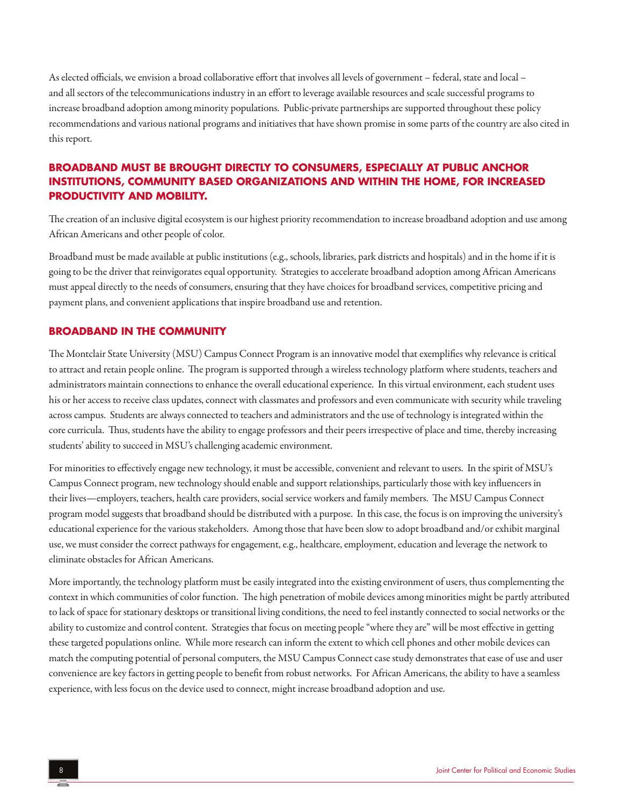As elected officials, we envision a broad collaborative effort that involves all levels of government – federal, state and local – and all sectors of the telecommunications industry in an effort to leverage available resources and scale successful programs to increase broadband adoption among minority populations. Public-private partnerships are supported throughout these policy recommendations and various national programs and initiatives that have shown promise in some parts of the country are also cited in this report.

## **BROADBAND MUST BE BROUGHT DIRECTLY TO CONSUMERS, ESPECIALLY AT PUBLIC ANCHOR INSTITUTIONS, COMMUNITY BASED ORGANIZATIONS AND WITHIN THE HOME, FOR INCREASED PRODUCTIVITY AND MOBILITY.**

The creation of an inclusive digital ecosystem is our highest priority recommendation to increase broadband adoption and use among African Americans and other people of color.

Broadband must be made available at public institutions (e.g., schools, libraries, park districts and hospitals) and in the home if it is going to be the driver that reinvigorates equal opportunity. Strategies to accelerate broadband adoption among African Americans must appeal directly to the needs of consumers, ensuring that they have choices for broadband services, competitive pricing and payment plans, and convenient applications that inspire broadband use and retention.

#### **BROADBAND IN THE COMMUNITY**

The Montclair State University (MSU) Campus Connect Program is an innovative model that exemplifies why relevance is critical to attract and retain people online. The program is supported through a wireless technology platform where students, teachers and administrators maintain connections to enhance the overall educational experience. In this virtual environment, each student uses his or her access to receive class updates, connect with classmates and professors and even communicate with security while traveling across campus. Students are always connected to teachers and administrators and the use of technology is integrated within the core curricula. Thus, students have the ability to engage professors and their peers irrespective of place and time, thereby increasing students' ability to succeed in MSU's challenging academic environment.

For minorities to effectively engage new technology, it must be accessible, convenient and relevant to users. In the spirit of MSU's Campus Connect program, new technology should enable and support relationships, particularly those with key influencers in their lives—employers, teachers, health care providers, social service workersand family members. The MSU Campus Connect program model suggests that broadband should be distributed with a purpose. In this case, the focus is on improving the university's educational experience for the various stakeholders. Among those that have been slow to adopt broadband and/or exhibit marginal use, we must consider the correct pathways for engagement, e.g., healthcare, employment, education and leverage the network to eliminate obstacles for African Americans.

More importantly, the technology platform must be easily integrated into the existing environment of users, thus complementing the context in which communities of color function. The high penetration of mobile devices among minorities might be partly attributed to lack of space for stationary desktops or transitional living conditions, the need to feel instantly connected to social networks or the ability to customize and control content. Strategies that focus on meeting people "where they are" will be most effective in getting these targeted populations online. While more research can inform the extent to which cell phones and other mobile devices can match the computing potential of personal computers, the MSU Campus Connect case study demonstrates that ease of use and user convenience are key factors in getting people to benefit from robust networks. For African Americans, the ability to have a seamless experience, with less focus on the device used to connect, might increase broadband adoption and use.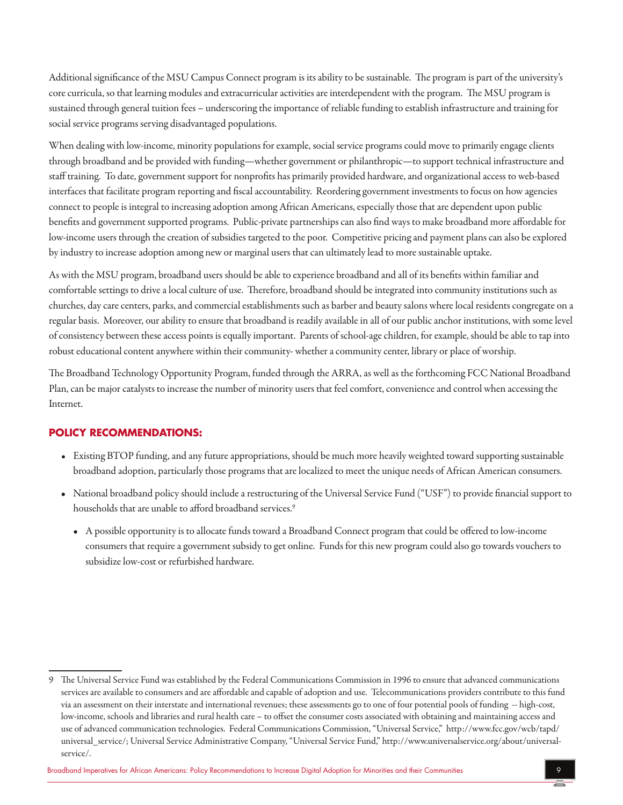Additional significance of the MSU Campus Connect program is its ability to be sustainable. The program is part of the university's core curricula, so that learning modules and extracurricular activities are interdependent with the program. The MSU program is sustained through general tuition fees – underscoring the importance of reliable funding to establish infrastructure and training for social service programs serving disadvantaged populations.

When dealing with low-income, minority populations for example, social service programs could move to primarily engage clients through broadband and be provided with funding—whether government or philanthropic—to support technical infrastructure and staff training. To date, government support for nonprofits has primarily provided hardware, and organizational access to web-based interfaces that facilitate program reporting and fiscal accountability. Reordering government investments to focus on how agencies connect to people is integral to increasing adoption among African Americans, especially those that are dependent upon public benefits and government supported programs. Public-private partnerships can also find ways to make broadband more affordable for low-income users through the creation of subsidies targeted to the poor. Competitive pricing and payment plans can also be explored by industry to increase adoption among new or marginal users that can ultimately lead to more sustainable uptake.

As with the MSU program, broadband users should be able to experience broadband and all of its benefits within familiar and comfortablesettings to drivealocalculture of use. Therefore, broadband should beintegrated into community institutions such as churches, day care centers, parks, and commercial establishments such as barber and beauty salons where local residents congregate on a regular basis. Moreover, our ability to ensure that broadband is readily available in all of our public anchor institutions, with some level of consistency between these access points is equally important. Parents of school-age children, for example, should be able to tap into robust educational content anywhere within their community- whether a community center, library or place of worship.

The Broadband Technology Opportunity Program, funded through the ARRA, as well as the forthcoming FCC National Broadband Plan, can be major catalysts to increase the number of minority users that feel comfort, convenience and control when accessing the Internet.

## **POLICY RECOMMENDATIONS:**

- Existing BTOP funding, and any future appropriations, should be much more heavily weighted toward supporting sustainable broadband adoption, particularly those programs that are localized to meet the unique needs of African American consumers.
- National broadband policy should include a restructuring of the Universal Service Fund ("USF") to provide financial support to households that are unable to afford broadband services.<sup>9</sup>
	- A possible opportunity is to allocate funds toward a Broadband Connect program that could be offered to low-income consumers that requirea government subsidy to get online. Funds for this new program could also go towards vouchers to subsidize low-cost or refurbished hardware.

<sup>9</sup> The Universal Service Fund wasestablished by the Federal Communications Commission in 1996 to ensurethatadvanced communications services are available to consumers and are affordable and capable of adoption and use. Telecommunications providers contribute to this fund via an assessment on their interstate and international revenues; these assessments go to one of four potential pools of funding -- high-cost, low-income, schools and libraries and rural health care – to offset the consumer costs associated with obtaining and maintaining access and use of advanced communication technologies. Federal Communications Commission, "Universal Service," http://www.fcc.gov/wcb/tapd/ universal\_service/; Universal Service Administrative Company, "Universal Service Fund," http://www.universalservice.org/about/universalservice/.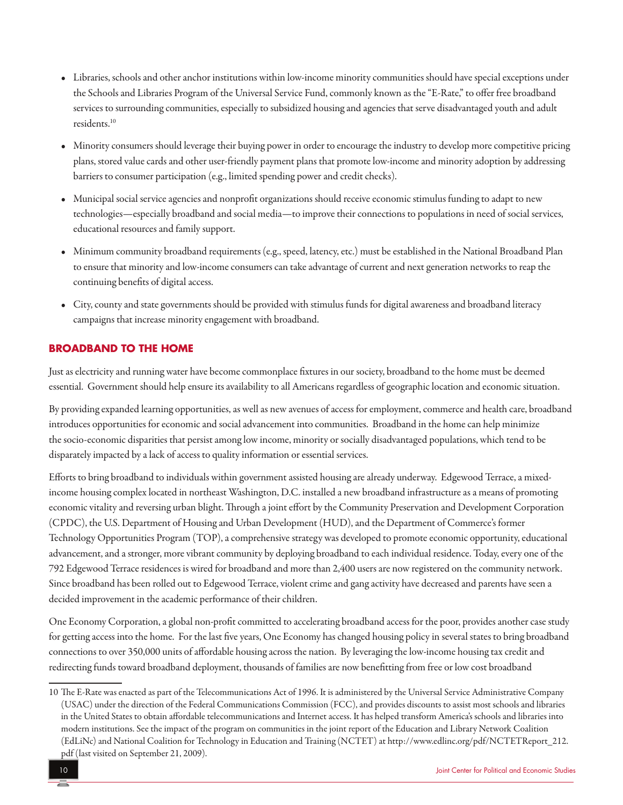- Libraries, schools and other anchor institutions within low-income minority communities should have special exceptions under the Schools and Libraries Program of the Universal Service Fund, commonly known as the "E-Rate," to offer free broadband services to surrounding communities, especially to subsidized housing and agencies that serve disadvantaged youth and adult residents.10
- Minority consumers should leverage their buying power in order to encourage the industry to develop more competitive pricing plans, stored value cards and other user-friendly payment plans that promote low-income and minority adoption by addressing barriers to consumer participation (e.g., limited spending power and credit checks).
- Municipal social service agencies and nonprofit organizations should receive economic stimulus funding to adapt to new technologies—especially broadband and social media—to improve their connections to populations in need of social services, educational resources and family support.
- Minimum community broadband requirements (e.g., speed, latency, etc.) must be established in the National Broadband Plan to ensure that minority and low-income consumers can take advantage of current and next generation networks to reap the continuing benefits of digital access.
- City, county and state governments should be provided with stimulus funds for digital awareness and broadband literacy campaigns that increase minority engagement with broadband.

## **BROADBAND TO THE HOME**

Justaselectricity and running water have becomecommonplace fixtures in our society, broadband to the home must be deemed essential. Government should help ensure its availability to all Americans regardless of geographic location and economic situation.

By providing expanded learning opportunities, as well as new avenues of access for employment, commerce and health care, broadband introduces opportunities for economic and social advancement into communities. Broadband in the home can help minimize the socio-economic disparities that persist among low income, minority or socially disadvantaged populations, which tend to be disparately impacted by a lack of access to quality information or essential services.

Efforts to bring broadband to individuals within government assisted housing are already underway. Edgewood Terrace, a mixedincome housing complex located in northeast Washington, D.C. installed a new broadband infrastructure as a means of promoting economic vitality and reversing urban blight. Through ajointeffort by the Community Preservation and Development Corporation (CPDC), the U.S. Department of Housing and Urban Development (HUD), and the Department of Commerce's former Technology Opportunities Program (TOP), a comprehensive strategy was developed to promote economic opportunity, educational advancement, and a stronger, more vibrant community by deploying broadband to each individual residence. Today, every one of the 792 Edgewood Terrace residences is wired for broadband and more than 2,400 users are now registered on the community network. Since broadband has been rolled out to Edgewood Terrace, violent crime and gang activity have decreased and parents have seen a decided improvement in the academic performance of their children.

One Economy Corporation, a global non-profit committed to accelerating broadband access for the poor, provides another case study for getting access into the home. For thelast five years, One Economy haschanged housing policy in several states to bring broadband connections to over 350,000 units of affordable housing across the nation. By leveraging the low-income housing tax credit and redirecting funds toward broadband deployment, thousands of families are now benefitting from free or low cost broadband

<sup>10</sup> The E-Rate wasenacted as part of the Telecommunications Act of 1996. It isadministered by the Universal Service Administrative Company (USAC) under the direction of the Federal Communications Commission (FCC), and provides discounts to assist most schools and libraries in the United States to obtain affordable telecommunications and Internet access. It has helped transform America's schools and libraries into modern institutions. Seetheimpact of the program on communities in thejoint report of the Education and Library Network Coalition (EdLiNc)and National Coalition for Technology in Education and Training (NCTET)at http://www.edlinc.org/pdf/NCTETReport\_212. pdf (last visited on September 21, 2009).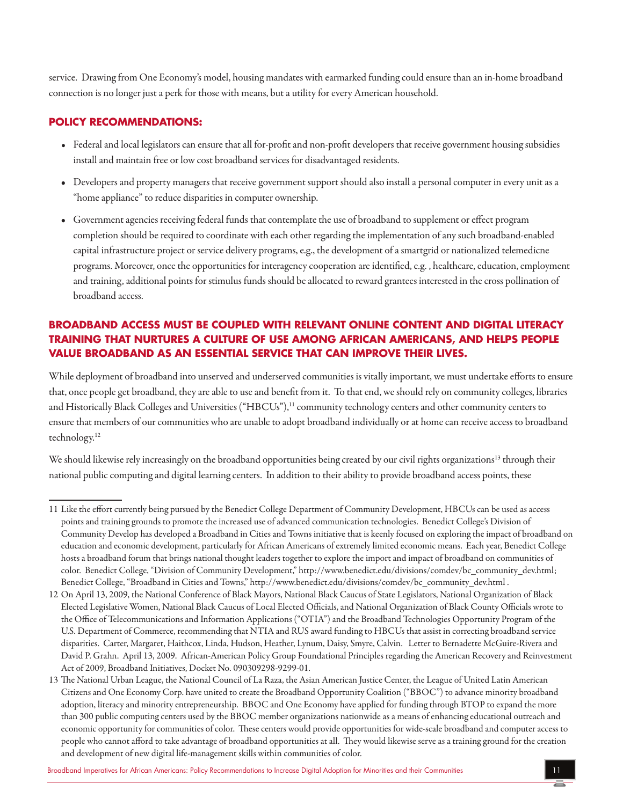service. Drawing from One Economy's model, housing mandates with earmarked funding could ensurethan an in-home broadband connection is no longer justa perk for those with means, buta utility forevery American household.

## **POLICY RECOMMENDATIONS:**

- Federal and local legislators can ensure that all for-profit and non-profit developers that receive government housing subsidies installand maintain free or low cost broadband services for disadvantaged residents.
- Developers and property managers that receive government support should also install a personal computer in every unit as a "home appliance" to reduce disparities in computer ownership.
- Government agencies receiving federal funds that contemplate the use of broadband to supplement or effect program completion should be required to coordinate with each other regarding the implementation of any such broadband-enabled capital infrastructure project or service delivery programs, e.g., the development of a smartgrid or nationalized telemedicne programs. Moreover, once the opportunities for interagency cooperation are identified, e.g., healthcare, education, employment and training, additional points for stimulus funds should be allocated to reward grantees interested in the cross pollination of broadband access.

# **BROADBAND ACCESS MUST BE COUPLED WITH RELEVANT ONLINE CONTENT AND DIGITAL LITERACY TRAINING THAT NURTURES A CULTURE OF USE AMONG AFRICAN AMERICANS, AND HELPS PEOPLE VALUE BROADBAND AS AN ESSENTIAL SERVICE THAT CAN IMPROVE THEIR LIVES.**

While deployment of broadband into unserved and underserved communities is vitally important, we must undertake efforts to ensure that, once people get broadband, they are able to use and benefit from it. To that end, we should rely on community colleges, libraries and Historically Black Colleges and Universities ("HBCUs"),<sup>11</sup> community technology centers and other community centers to ensure that members of our communities who are unable to adopt broadband individually or at home can receive access to broadband technology.12

We should likewise rely increasingly on the broadband opportunities being created by our civil rights organizations<sup>13</sup> through their national public computing and digital learning centers. In addition to their ability to provide broadband access points, these

<sup>11</sup> Like the effort currently being pursued by the Benedict College Department of Community Development, HBCUs can be used as access points and training grounds to promote the increased use of advanced communication technologies. Benedict College's Division of Community Develop has developed a Broadband in Cities and Towns initiative that is keenly focused on exploring the impact of broadband on education and economic development, particularly for African Americans ofextremely limited economic means. Each year, Benedict College hosts a broadband forum that brings national thought leaders together to explore the import and impact of broadband on communities of color. Benedict College, "Division of Community Development," http://www.benedict.edu/divisions/comdev/bc\_community\_dev.html; Benedict College, "Broadband in Cities and Towns," http://www.benedict.edu/divisions/comdev/bc\_community\_dev.html .

<sup>12</sup> On April 13, 2009, the National Conference of Black Mayors, National Black Caucus of State Legislators, National Organization of Black Elected Legislative Women, National Black Caucus of Local Elected Officials,and National Organization of Black County Officials wroteto the Office of Telecommunications and Information Applications ("OTIA") and the Broadband Technologies Opportunity Program of the U.S. Department of Commerce, recommending that NTIA and RUS award funding to HBCUs that assist in correcting broadband service disparities. Carter, Margaret, Haithcox, Linda, Hudson, Heather, Lynum, Daisy, Smyre, Calvin. Letter to Bernadette McGuire-Riveraand David P. Grahn. April 13, 2009. African-American Policy Group Foundational Principles regarding the American Recovery and Reinvestment Act of 2009, Broadband Initiatives, Docket No. 090309298-9299-01.

<sup>13</sup> The National Urban League, the National Council of La Raza, the Asian American Justice Center, the League of United Latin American Citizens and One Economy Corp. have united to create the Broadband Opportunity Coalition ("BBOC") to advance minority broadband adoption, literacy and minority entrepreneurship. BBOC and One Economy haveapplied for funding through BTOP to expand the more than 300 public computing centers used by the BBOC member organizations nationwide as a means of enhancing educational outreach and economic opportunity for communities of color. These centers would provide opportunities for wide-scale broadband and computer access to people who cannot afford to take advantage of broadband opportunities at all. They would likewise serve as a training ground for the creation and development of new digital life-management skills within communities of color.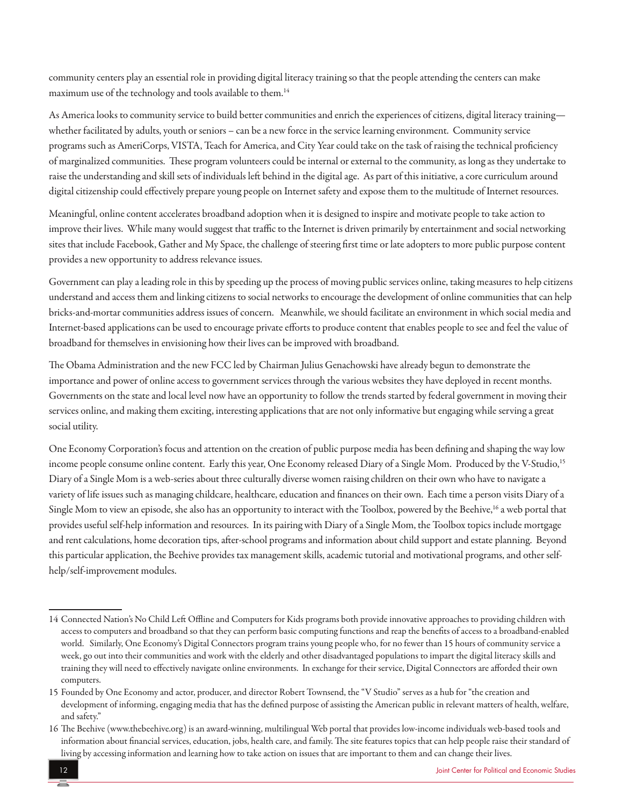community centers play an essential role in providing digital literacy training so that the people attending the centers can make maximum use of the technology and tools available to them.<sup>14</sup>

As America looks to community service to build better communities and enrich the experiences of citizens, digital literacy training whether facilitated by adults, youth or seniors – can be a new force in the service learning environment. Community service programs such as AmeriCorps, VISTA, Teach for America, and City Year could take on the task of raising the technical proficiency of marginalized communities. These program volunteers could be internal or external to the community, as long as they undertake to raise the understanding and skill sets of individuals left behind in the digital age. As part of this initiative, a core curriculum around digital citizenship could effectively prepare young people on Internet safety and expose them to the multitude of Internet resources.

Meaningful, online content accelerates broadband adoption when it is designed to inspire and motivate people to take action to improve their lives. While many would suggest that traffic to the Internet is driven primarily by entertainment and social networking sites that include Facebook, Gather and My Space, the challenge of steering first time or late adopters to more public purpose content provides a new opportunity to address relevance issues.

Government can play a leading role in this by speeding up the process of moving public services online, taking measures to help citizens understand and access them and linking citizens to social networks to encourage the development of online communities that can help bricks-and-mortar communities address issues of concern. Meanwhile, we should facilitate an environment in which social media and Internet-based applications can be used to encourage private efforts to produce content that enables people to see and feel the value of broadband for themselves in envisioning how their lives can be improved with broadband.

The Obama Administration and the new FCC led by Chairman Julius Genachowski have already begun to demonstrate the importance and power of online access to government services through the various websites they have deployed in recent months. Governments on the state and local level now have an opportunity to follow the trends started by federal government in moving their services online, and making them exciting, interesting applications that are not only informative but engaging while serving a great social utility.

One Economy Corporation's focus and attention on the creation of public purpose media has been defining and shaping the way low income people consume online content. Early this year, One Economy released Diary of a Single Mom. Produced by the V-Studio,<sup>15</sup> Diary of a Single Mom is a web-series about three culturally diverse women raising children on their own who have to navigate a variety of life issues such as managing childcare, healthcare, education and finances on their own. Each time a person visits Diary of a Single Mom to view an episode, she also has an opportunity to interact with the Toolbox, powered by the Beehive,<sup>16</sup> a web portal that provides useful self-help information and resources. In its pairing with Diary of a Single Mom, the Toolbox topics include mortgage and rent calculations, home decoration tips, after-school programs and information about child support and estate planning. Beyond this particular application, the Beehive provides tax management skills, academic tutorial and motivational programs, and other selfhelp/self-improvement modules.

<sup>14</sup> Connected Nation's No Child Left Offline and Computers for Kids programs both provide innovative approaches to providing children with access to computers and broadband so that they can perform basic computing functions and reap the benefits of access to a broadband-enabled world. Similarly, One Economy's Digital Connectors program trains young people who, for no fewer than 15 hours ofcommunity servicea week, go out into their communities and work with the elderly and other disadvantaged populations to impart the digital literacy skills and training they will need to effectively navigate online environments. In exchange for their service, Digital Connectors are afforded their own computers.

<sup>15</sup> Founded by One Economy and actor, producer, and director Robert Townsend, the "V Studio" serves as a hub for "the creation and development of informing, engaging media that has the defined purpose of assisting the American public in relevant matters of health, welfare, and safety."

<sup>16</sup> The Beehive (www.thebeehive.org) isan award-winning, multilingual Web portal that provides low-incomeindividuals web-based toolsand information about financial services, education, jobs, health care, and family. The site features topics that can help people raise their standard of living by accessing information and learning how to take action on issues that are important to them and can change their lives.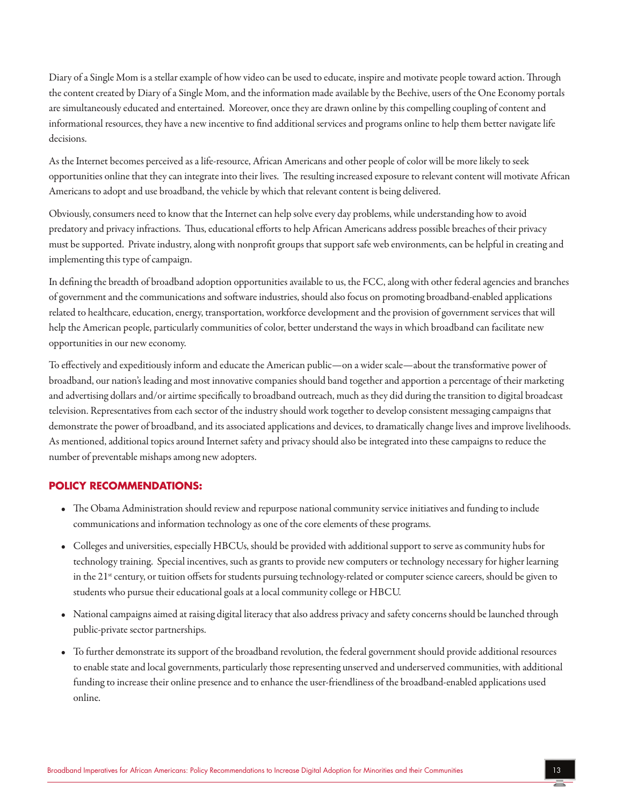Diary of a Single Mom is a stellar example of how video can be used to educate, inspire and motivate people toward action. Through the content created by Diary of a Single Mom, and the information made available by the Beehive, users of the One Economy portals are simultaneously educated and entertained. Moreover, once they are drawn online by this compelling coupling of content and informational resources, they have a new incentive to find additional services and programs online to help them better navigate life decisions.

As the Internet becomes perceived as a life-resource, African Americans and other people of color will be more likely to seek opportunities online that they can integrate into their lives. The resulting increased exposure to relevant content will motivate African Americans to adopt and use broadband, the vehicle by which that relevant content is being delivered.

Obviously, consumers need to know that the Internet can help solve every day problems, while understanding how to avoid predatory and privacy infractions. Thus, educational efforts to help African Americans address possible breaches of their privacy must be supported. Private industry, along with nonprofit groups that support safe web environments, can be helpful in creating and implementing this type of campaign.

In defining the breadth of broadband adoption opportunities available to us, the FCC, along with other federal agencies and branches of government and the communications and software industries, should also focus on promoting broadband-enabled applications related to healthcare, education, energy, transportation, workforce development and the provision of government services that will help the American people, particularly communities of color, better understand the ways in which broadband can facilitate new opportunities in our new economy.

To effectively and expeditiously inform and educate the American public—on a wider scale—about the transformative power of broadband, our nation's leading and most innovative companies should band together and apportion a percentage of their marketing and advertising dollars and/or airtime specifically to broadband outreach, much as they did during the transition to digital broadcast television. Representatives from each sector of the industry should work together to develop consistent messaging campaigns that demonstrate the power of broadband, and its associated applications and devices, to dramatically change lives and improve livelihoods. As mentioned, additional topics around Internet safety and privacy should also be integrated into these campaigns to reduce the number of preventable mishaps among new adopters.

#### **POLICY RECOMMENDATIONS:**

- The Obama Administration should review and repurpose national community service initiatives and funding to include communications and information technology as one of the core elements of these programs.
- Colleges and universities, especially HBCUs, should be provided with additional support to serve as community hubs for technology training. Special incentives, such as grants to provide new computers or technology necessary for higher learning in the 21<sup>st</sup> century, or tuition offsets for students pursuing technology-related or computer science careers, should be given to students who pursue their educational goals at a local community college or HBCU.
- National campaigns aimed at raising digital literacy that also address privacy and safety concerns should be launched through public-private sector partnerships.
- To further demonstrate its support of the broadband revolution, the federal government should provide additional resources to enable state and local governments, particularly those representing unserved and underserved communities, with additional funding to increase their online presence and to enhance the user-friendliness of the broadband-enabled applications used online.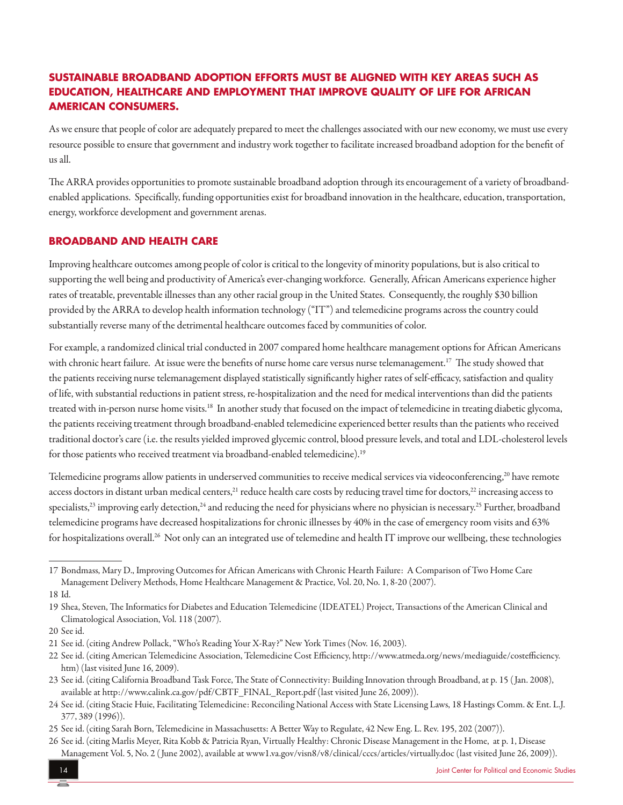# **SUSTAINABLE BROADBAND ADOPTION EFFORTS MUST BE ALIGNED WITH KEY AREAS SUCH AS EDUCATION, HEALTHCARE AND EMPLOYMENT THAT IMPROVE QUALITY OF LIFE FOR AFRICAN AMERICAN CONSUMERS.**

As we ensure that people of color are adequately prepared to meet the challenges associated with our new economy, we must use every resource possible to ensure that government and industry work together to facilitate increased broadband adoption for the benefit of usall.

The ARRA provides opportunities to promote sustainable broadband adoption through its encouragement of a variety of broadbandenabled applications. Specifically, funding opportunities exist for broadband innovation in the healthcare, education, transportation, energy, workforce development and government arenas.

#### **BROADBAND AND HEALTH CARE**

Improving healthcare outcomes among people of color is critical to the longevity of minority populations, but is also critical to supporting the well being and productivity of America's ever-changing workforce. Generally, African Americans experience higher rates of treatable, preventable illnesses than any other racial group in the United States. Consequently, the roughly \$30 billion provided by the ARRA to develop health information technology ("IT") and telemedicine programs across the country could substantially reverse many of the detrimental healthcare outcomes faced by communities of color.

For example, a randomized clinical trial conducted in 2007 compared home healthcare management options for African Americans with chronic heart failure. At issue were the benefits of nurse home care versus nurse telemanagement.<sup>17</sup> The study showed that the patients receiving nurse telemanagement displayed statistically significantly higher rates of self-efficacy, satisfaction and quality of life, with substantial reductions in patient stress, re-hospitalization and the need for medical interventions than did the patients treated with in-person nurse home visits.<sup>18</sup> In another study that focused on the impact of telemedicine in treating diabetic glycoma, the patients receiving treatment through broadband-enabled telemedicine experienced better results than the patients who received traditional doctor's care (i.e. the results yielded improved glycemic control, blood pressure levels, and total and LDL-cholesterol levels for those patients who received treatment via broadband-enabled telemedicine).<sup>19</sup>

Telemedicine programs allow patients in underserved communities to receive medical services via videoconferencing,<sup>20</sup> have remote access doctors in distant urban medical centers,<sup>21</sup> reduce health care costs by reducing travel time for doctors,<sup>22</sup> increasing access to specialists,<sup>23</sup> improving early detection,<sup>24</sup> and reducing the need for physicians where no physician is necessary.<sup>25</sup> Further, broadband telemedicine programs have decreased hospitalizations for chronic illnesses by 40% in the case of emergency room visits and 63% for hospitalizations overall.<sup>26</sup> Not only can an integrated use of telemedine and health IT improve our wellbeing, these technologies

<sup>17</sup> Bondmass, Mary D., Improving Outcomes for African Americans with Chronic Hearth Failure: A Comparison of Two Home Care Management Delivery Methods, Home Healthcare Management & Practice, Vol. 20, No. 1, 8-20 (2007).

<sup>18</sup> Id.

<sup>19</sup> Shea, Steven, The Informatics for Diabetes and Education Telemedicine (IDEATEL) Project, Transactions of the American Clinical and Climatological Association, Vol. 118 (2007).

<sup>20</sup> Seeid.

<sup>21</sup> See id. (citing Andrew Pollack, "Who's Reading Your X-Ray?" New York Times (Nov. 16, 2003).

<sup>22</sup> See id. (citing American Telemedicine Association, Telemedicine Cost Efficiency, http://www.atmeda.org/news/mediaguide/costefficiency. htm) (last visited June 16, 2009).

<sup>23</sup> Seeid. (citing California Broadband Task Force, The State of Connectivity: Building Innovation through Broadband,at p. 15 ( Jan. 2008), available at http://www.calink.ca.gov/pdf/CBTF\_FINAL\_Report.pdf (last visited June 26, 2009)).

<sup>24</sup> Seeid. (citing Stacie Huie, Facilitating Telemedicine: Reconciling National Access with State Licensing Laws, 18 Hastings Comm. & Ent. L.J. 377, 389 (1996)).

<sup>25</sup> See id. (citing Sarah Born, Telemedicine in Massachusetts: A Better Way to Regulate, 42 New Eng. L. Rev. 195, 202 (2007)).

<sup>26</sup> See id. (citing Marlis Meyer, Rita Kobb & Patricia Ryan, Virtually Healthy: Chronic Disease Management in the Home, at p. 1, Disease Management Vol. 5, No. 2 (June 2002), available at www1.va.gov/visn8/v8/clinical/cccs/articles/virtually.doc (last visited June 26, 2009)).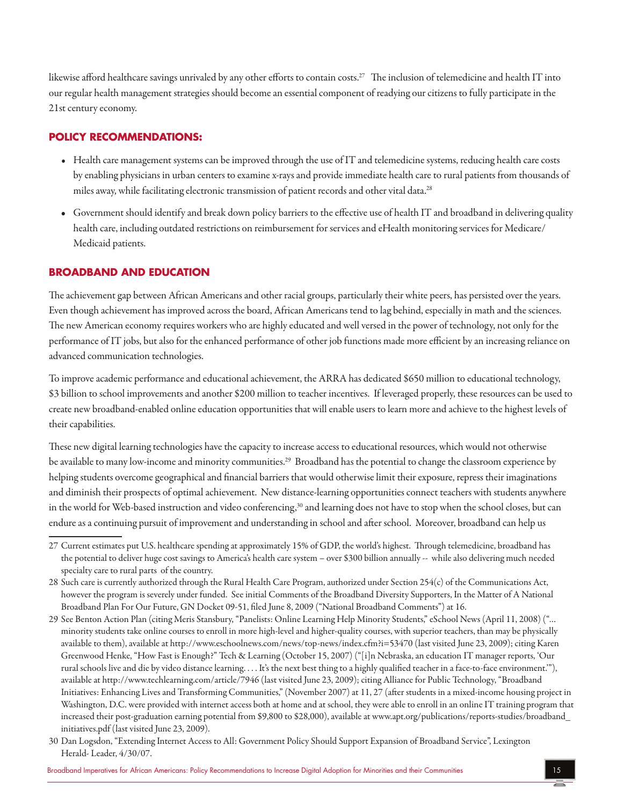likewise afford healthcare savings unrivaled by any other efforts to contain costs.<sup>27</sup> The inclusion of telemedicine and health IT into our regular health management strategies should become an essential component of readying our citizens to fully participate in the 21st century economy.

## **POLICY RECOMMENDATIONS:**

- Health care management systems can be improved through the use of IT and telemedicine systems, reducing health care costs by enabling physicians in urban centers to examine x-rays and provide immediate health care to rural patients from thousands of miles away, while facilitating electronic transmission of patient records and other vital data.<sup>28</sup>
- Government should identify and break down policy barriers to the effective use of health IT and broadband in delivering quality health care, including outdated restrictions on reimbursement for services and eHealth monitoring services for Medicare/ Medicaid patients.

## **BROADBAND AND EDUCATION**

The achievement gap between African Americans and other racial groups, particularly their white peers, has persisted over the years. Even though achievement has improved across the board, African Americans tend to lag behind, especially in math and the sciences. The new American economy requires workers who are highly educated and well versed in the power of technology, not only for the performance of IT jobs, but also for the enhanced performance of other job functions made more efficient by an increasing reliance on advanced communication technologies.

To improve academic performance and educational achievement, the ARRA has dedicated \$650 million to educational technology, \$3 billion to school improvements and another \$200 million to teacher incentives. If leveraged properly, these resources can be used to create new broadband-enabled onlineeducation opportunities that willenable users to learn moreand achieveto the highest levels of their capabilities.

These new digital learning technologies have the capacity to increase access to educational resources, which would not otherwise be available to many low-income and minority communities.<sup>29</sup> Broadband has the potential to change the classroom experience by helping students overcome geographical and financial barriers that would otherwise limit their exposure, repress their imaginations and diminish their prospects of optimal achievement. New distance-learning opportunities connect teachers with students anywhere in the world for Web-based instruction and video conferencing,<sup>30</sup> and learning does not have to stop when the school closes, but can endure as a continuing pursuit of improvement and understanding in school and after school. Moreover, broadband can help us

<sup>27</sup> Current estimates put U.S. healthcare spending at approximately 15% of GDP, the world's highest. Through telemedicine, broadband has the potential to deliver huge cost savings to America's health care system – over \$300 billion annually -- while also delivering much needed specialty care to rural parts of the country.

<sup>28</sup> Such care is currently authorized through the Rural Health Care Program, authorized under Section 254(c) of the Communications Act, however the program is severely under funded. See initial Comments of the Broadband Diversity Supporters, In the Matter of A National Broadband Plan For Our Future, GN Docket 09-51, filed June 8, 2009 ("National Broadband Comments") at 16.

<sup>29</sup> See Benton Action Plan (citing Meris Stansbury, "Panelists: Online Learning Help Minority Students,"eSchool News (April 11, 2008) ("… minority students take online courses to enroll in more high-level and higher-quality courses, with superior teachers, than may be physically available to them), available at http://www.eschoolnews.com/news/top-news/index.cfm?i=53470 (last visited June 23, 2009); citing Karen Greenwood Henke, "How Fast is Enough?" Tech & Learning (October 15, 2007) ("[i]n Nebraska,an education IT manager reports, 'Our rural schools live and die by video distance learning. . . . It's the next best thing to a highly qualified teacher in a face-to-face environment."), available at http://www.techlearning.com/article/7946 (last visited June 23, 2009); citing Alliance for Public Technology, "Broadband Initiatives: Enhancing Lives and Transforming Communities," (November 2007) at 11, 27 (after students in a mixed-income housing project in Washington, D.C. were provided with internet access both at home and at school, they were able to enroll in an online IT training program that increased their post-graduation earning potential from \$9,800 to \$28,000), available at www.apt.org/publications/reports-studies/broadband\_ initiatives.pdf (last visited June 23, 2009).

<sup>30</sup> Dan Logsdon, "Extending Internet Access to All: Government Policy Should Support Expansion of Broadband Service", Lexington Herald- Leader, 4/30/07.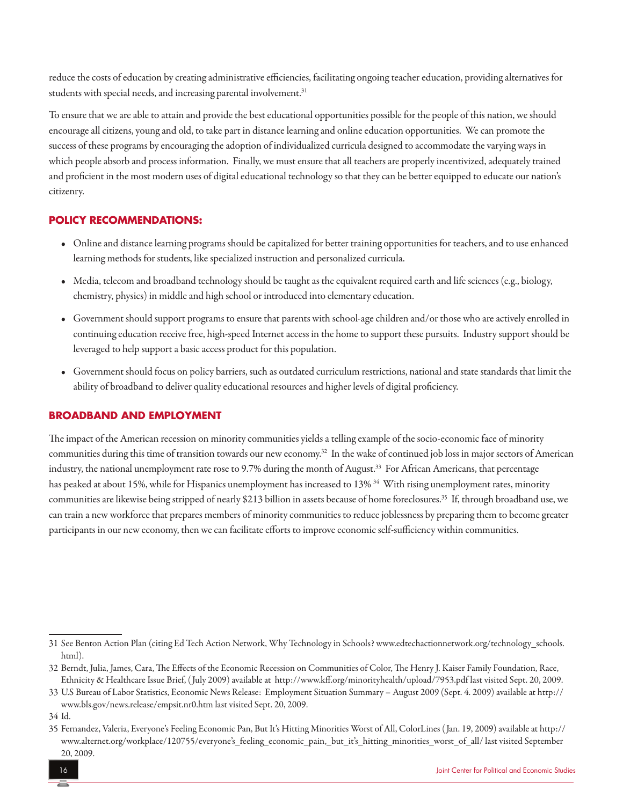reduce the costs of education by creating administrative efficiencies, facilitating ongoing teacher education, providing alternatives for students with special needs, and increasing parental involvement.<sup>31</sup>

To ensure that we are able to attain and provide the best educational opportunities possible for the people of this nation, we should encourage all citizens, young and old, to take part in distance learning and online education opportunities. We can promote the success of these programs by encouraging the adoption of individualized curricula designed to accommodate the varying ways in which people absorb and process information. Finally, we must ensure that all teachers are properly incentivized, adequately trained and proficient in the most modern uses of digital educational technology so that they can be better equipped to educate our nation's citizenry.

## **POLICY RECOMMENDATIONS:**

- Online and distance learning programs should be capitalized for better training opportunities for teachers, and to use enhanced learning methods for students, like specialized instruction and personalized curricula.
- $\bullet$  Media, telecom and broadband technology should be taught as the equivalent required earth and life sciences (e.g., biology, chemistry, physics) in middle and high school or introduced into elementary education.
- Government should support programs to ensure that parents with school-age children and/or those who are actively enrolled in continuing education receive free, high-speed Internet access in the home to support these pursuits. Industry support should be leveraged to help support a basic access product for this population.
- Government should focus on policy barriers, such as outdated curriculum restrictions, national and state standards that limit the ability of broadband to deliver quality educational resourcesand higher levels of digital proficiency.

## **BROADBAND AND EMPLOYMENT**

The impact of the American recession on minority communities yields a telling example of the socio-economic face of minority communities during this time of transition towards our new economy.32 In the wake of continued job loss in major sectors of American industry, the national unemployment rate rose to 9.7% during the month of August.<sup>33</sup> For African Americans, that percentage has peaked at about 15%, while for Hispanics unemployment has increased to  $13\%$ <sup>34</sup> With rising unemployment rates, minority communities are likewise being stripped of nearly \$213 billion in assets because of home foreclosures.<sup>35</sup> If, through broadband use, we can train a new workforce that prepares members of minority communities to reduce joblessness by preparing them to become greater participants in our new economy, then we can facilitate efforts to improve economic self-sufficiency within communities.

<sup>31</sup> See Benton Action Plan (citing Ed Tech Action Network, Why Technology in Schools? www.edtechactionnetwork.org/technology\_schools. html).

<sup>32</sup> Berndt, Julia, James, Cara, The Effects of the Economic Recession on Communities of Color, The Henry J. Kaiser Family Foundation, Race, Ethnicity & Healthcare Issue Brief, (July 2009) available at http://www.kff.org/minorityhealth/upload/7953.pdf last visited Sept. 20, 2009.

<sup>33</sup> U.S Bureau of Labor Statistics, Economic News Release: Employment Situation Summary – August 2009 (Sept. 4. 2009) available at http:// www.bls.gov/news.release/empsit.nr0.htm last visited Sept. 20, 2009.

<sup>34</sup> Id.

<sup>35</sup> Fernandez, Valeria, Everyone's Feeling Economic Pan, But It's Hitting Minorities Worst of All, ColorLines (Jan. 19, 2009) available at http:// www.alternet.org/workplace/120755/everyone's\_feeling\_economic\_pain,\_but\_it's\_hitting\_minorities\_worst\_of\_all/ last visited September 20, 2009.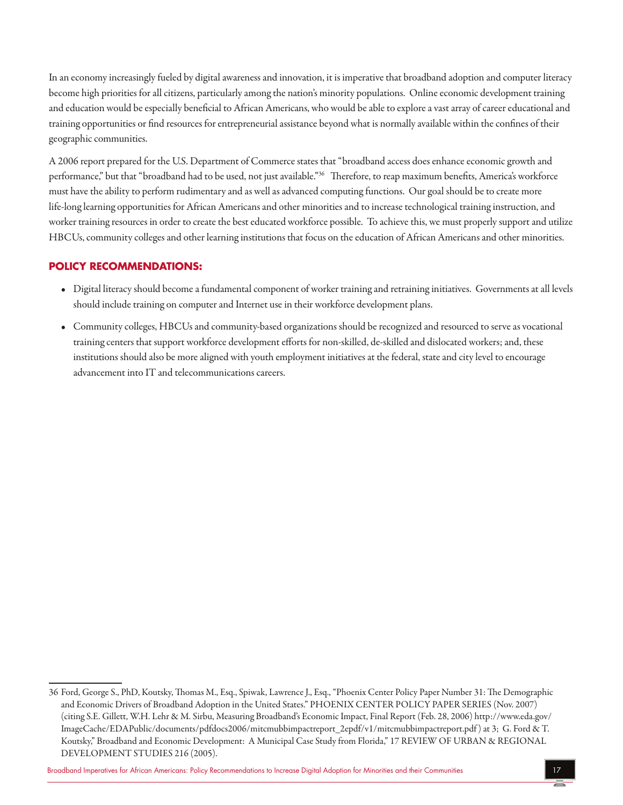In an economy increasingly fueled by digital awareness and innovation, it is imperative that broadband adoption and computer literacy become high priorities for all citizens, particularly among the nation's minority populations. Online economic development training and education would be especially beneficial to African Americans, who would be able to explore a vast array of career educational and training opportunities or find resources for entrepreneurial assistance beyond what is normally available within the confines of their geographic communities.

A 2006 report prepared for the U.S. Department of Commerce states that "broadband access does enhance economic growth and performance," but that "broadband had to be used, not just available."<sup>36</sup> Therefore, to reap maximum benefits, America's workforce must have the ability to perform rudimentary and as well as advanced computing functions. Our goal should be to create more life-long learning opportunities for African Americans and other minorities and to increase technological training instruction, and worker training resources in order to create the best educated workforce possible. To achieve this, we must properly support and utilize HBCUs, community colleges and other learning institutions that focus on the education of African Americans and other minorities.

## **POLICY RECOMMENDATIONS:**

- Digital literacy should become a fundamental component of worker training and retraining initiatives. Governments at all levels should include training on computer and Internet use in their workforce development plans.
- Community colleges, HBCUs and community-based organizations should be recognized and resourced to serve as vocational training centers that support workforce development efforts for non-skilled, de-skilled and dislocated workers; and, these institutions should also be more aligned with youth employment initiatives at the federal, state and city level to encourage advancement into IT and telecommunications careers.

Broadband Imperatives for African Americans: Policy Recommendations to Increase Digital Adoption for Minorities and their Communities 17

<sup>36</sup> Ford, George S., PhD, Koutsky, Thomas M., Esq., Spiwak, LawrenceJ., Esq., "Phoenix Center Policy Paper Number 31: The Demographic and Economic Drivers of Broadband Adoption in the United States." PHOENIX CENTER POLICY PAPER SERIES (Nov. 2007) (citing S.E. Gillett, W.H. Lehr & M. Sirbu, Measuring Broadband's EconomicImpact, Final Report (Feb. 28, 2006) http://www.eda.gov/ ImageCache/EDAPublic/documents/pdfdocs2006/mitcmubbimpactreport\_2epdf/v1/mitcmubbimpactreport.pdf )at 3; G. Ford & T. Koutsky," Broadband and Economic Development: A Municipal Case Study from Florida," 17 REVIEW OF URBAN & REGIONAL DEVELOPMENT STUDIES 216 (2005).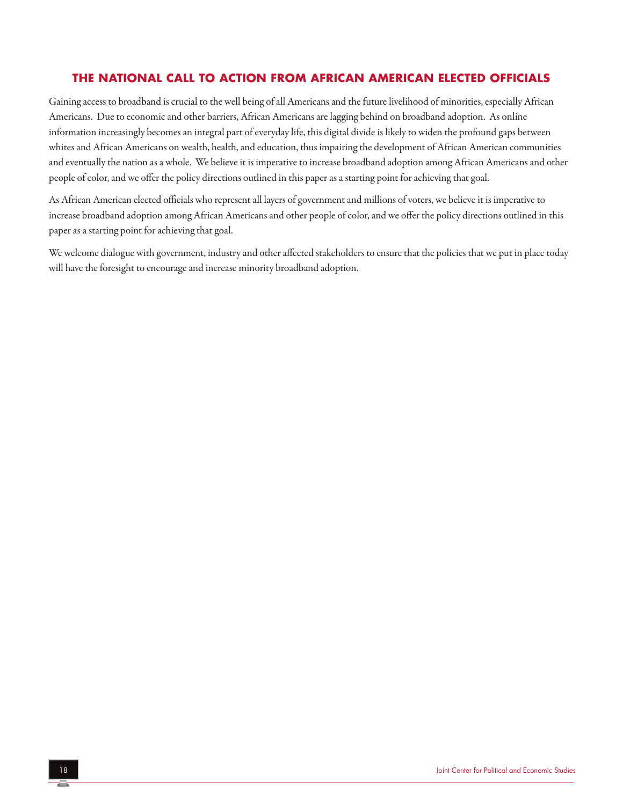# **THE NATIONAL CALL TO ACTION FROM AFRICAN AMERICAN ELECTED OFFICIALS**

Gaining access to broadband is crucial to the well being of all Americans and the future livelihood of minorities, especially African Americans. Due to economic and other barriers, African Americans are lagging behind on broadband adoption. As online information increasingly becomes an integral part of everyday life, this digital divide is likely to widen the profound gaps between whites and African Americans on wealth, health, and education, thus impairing the development of African American communities and eventually the nation as a whole. We believe it is imperative to increase broadband adoption among African Americans and other people of color, and we offer the policy directions outlined in this paper as a starting point for achieving that goal.

As African American elected officials who represent all layers of government and millions of voters, we believe it is imperative to increase broadband adoption among African Americans and other people of color, and we offer the policy directions outlined in this paper as a starting point for achieving that goal.

We welcome dialogue with government, industry and other affected stakeholders to ensure that the policies that we put in place today will have the foresight to encourage and increase minority broadband adoption.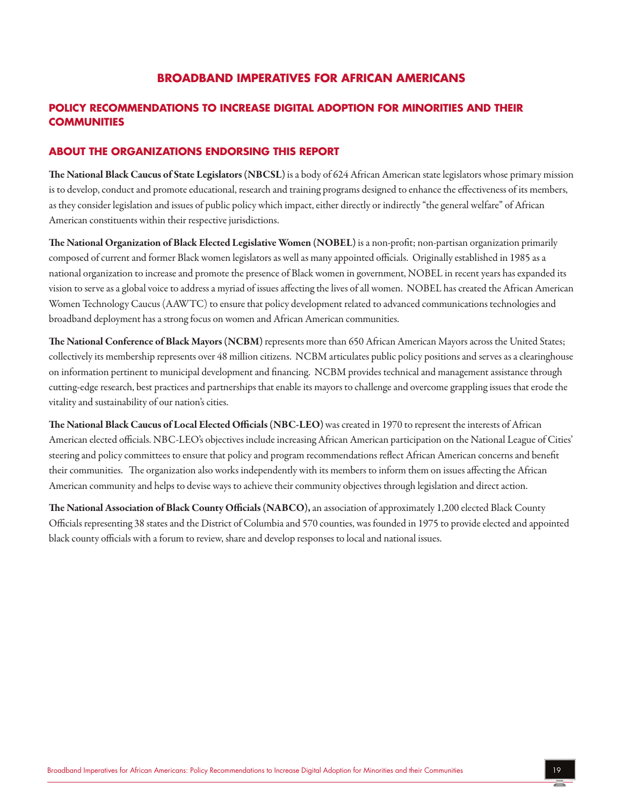## **BROADBAND IMPERATIVES FOR AFRICAN AMERICANS**

## **POLICY RECOMMENDATIONS TO INCREASE DIGITAL ADOPTION FOR MINORITIES AND THEIR COMMUNITIES**

#### **ABOUT THE ORGANIZATIONS ENDORSING THIS REPORT**

The National Black Caucus of State Legislators (NBCSL) is a body of 624 African American state legislators whose primary mission is to develop, conduct and promote educational, research and training programs designed to enhance the effectiveness of its members, as they consider legislation and issues of public policy which impact, either directly or indirectly "the general welfare" of African American constituents within their respective jurisdictions.

The National Organization of Black Elected Legislative Women (NOBEL) isa non-profit; non-partisan organization primarily composed of current and former Black women legislators as well as many appointed officials. Originally established in 1985 as a national organization to increase and promote the presence of Black women in government, NOBEL in recent years has expanded its vision to serve as a global voice to address a myriad of issues affecting the lives of all women. NOBEL has created the African American Women Technology Caucus (AAWTC) to ensure that policy development related to advanced communications technologies and broadband deployment has a strong focus on women and African American communities.

The National Conference of Black Mayors (NCBM) represents more than 650 African American Mayors across the United States; collectively its membership represents over 48 million citizens. NCBM articulates public policy positions and serves as a clearinghouse on information pertinent to municipal development and financing. NCBM provides technical and management assistance through cutting-edge research, best practices and partnerships that enable its mayors to challenge and overcome grappling issues that erode the vitality and sustainability of our nation's cities.

The National Black Caucus of Local Elected Officials (NBC-LEO) was created in 1970 to represent the interests of African American elected officials. NBC-LEO's objectives include increasing African American participation on the National League of Cities' steering and policy committees to ensure that policy and program recommendations reflect African American concerns and benefit their communities. The organization also works independently with its members to inform them on issues affecting the African American community and helps to devise ways to achieve their community objectives through legislation and direct action.

The National Association of Black County Officials (NABCO), an association of approximately 1,200 elected Black County Officials representing 38 states and the District of Columbia and 570 counties, was founded in 1975 to provide elected and appointed black county officials with a forum to review, share and develop responses to local and national issues.